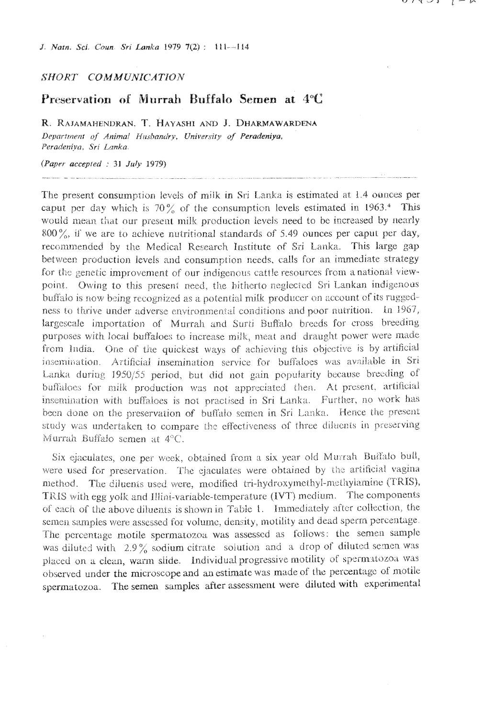J. Natn. Sci. Coun. Sri Lanka 1979 7(2): 111-114

### SHORT COMMUNICATION

# Preservation of Murrah Buffalo Semen at 4°C

R. RAJAMAHENDRAN, T. HAYASHI AND J. DHARMAWARDENA Department of Animal Husbandry, University of Peradeniya, Peradeniya, Sri Lanka.

### (Paper accepted : 31 July 1979)

The present consumption levels of milk in Sri Lanka is estimated at 1.4 ounces per caput per day which is  $70\%$  of the consumption levels estimated in 1963.<sup>4</sup> This would mean that our present milk production levels need to be increased by nearly  $800\%$ , if we are to achieve nutritional standards of 5.49 ounces per caput per day, recommended by the Medical Research Institute of Sri Lanka. This large gap between production levels and consumption needs, calls for an immediate strategy for the genetic improvement of our indigenous cattle resources from a national viewpoint. Owing to this present need, the hitherto neglected Sri Lankan indigenous buffalo is now being recognized as a potential milk producer on account of its ruggedness to thrive under adverse environmental conditions and poor nutrition. In 1967, largescale importation of Murrah and Surti Buffalo breeds for cross breeding purposes with local buffaloes to increase milk, meat and draught power were made from India. One of the quickest ways of achieving this objective is by artificial insemination. Artificial insemination service for buffaloes was available in Sri Lanka during 1950/55 period, but did not gain popularity because breeding of buffaloes for milk production was not appreciated then. At present, artificial insemination with buffaloes is not practised in Sri Lanka. Further, no work has been done on the preservation of buffalo semen in Sri Lanka. Hence the present study was undertaken to compare the effectiveness of three dilucnts in preserving Murrah Buffalo semen at 4°C

Six ejaculates, one per week, obtained from a six year old Murrah Buffalo bull, were used for preservation. The ejaculates were obtained by the artificial vagina method. The diluents used were, modified tri-hydroxymethyl-methylamine (TRIS), TRIS with egg yolk and Illini-variable-temperature (IVT) medium. The components of each of the above diluents is shown in Table 1. Immediately after collection, the semen samples were assessed for volume, density, motility and dead sperm percentage. The percentage motile spermatozoa was assessed as follows: the semen sample was diluted with 2.9% sodium citrate solution and a drop of diluted semen was placed on a clean, warm slide. Individual progressive motility of spermatozoa was observed under the microscope and an estimate was made of the percentage of motile spermatozoa. The semen samples after assessment were diluted with experimental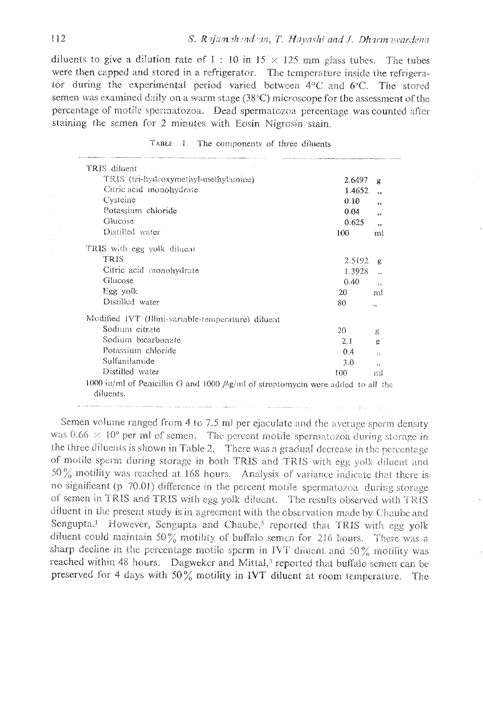diluents to give a dilution rate of 1 : 10 in  $15 \times 125$  mm glass tubes. The tubes were then capped and stored in a refrigerator. The temperature inside the refrigerator during the experimental period varied between  $4^{\circ}$ C and  $6^{\circ}$ C. The stored semen was examined daily on a warm stage (38°C) microscope for the assessment of the percentage of motile spermatozoa. Dead spermatozoa percentage was counted after staining the semen for 2 minutes with Eosin Nigrosin stain.

| TRIS diluent                                                                                      |        |                          |
|---------------------------------------------------------------------------------------------------|--------|--------------------------|
| TRIS (tri-hydroxymethyl-methylamine)                                                              | 2.6497 | $\mathbf x$              |
| Citric acid monohydrate                                                                           | 1.4652 | $\ddot{\phantom{0}}$     |
| Cysteine                                                                                          | 0.10   | s.                       |
| Potassium chloride                                                                                | 0.04   | s é                      |
| Glucose                                                                                           | 0.625  | ÷4                       |
| Distilled water                                                                                   | 100    | ml                       |
| TRIS with egg yolk dilucat                                                                        |        |                          |
| TRIS                                                                                              | 2.5192 | R                        |
| Citric acid monohydrate                                                                           | 1.3928 | $\ddotsc$                |
| Glucose                                                                                           | 0.40   | $\rightarrow$            |
| Egg yolk                                                                                          | 20     | nıl                      |
| Distilled water                                                                                   | 80     | ۶×.                      |
| Modified IVT (Illini-variable-temperature) diluent                                                |        |                          |
| Sodium citrate                                                                                    | 20     | ß                        |
| Sodium bicarbonate                                                                                | 2.1    | Ω                        |
| Potassium chloride                                                                                | 0.4    | 1.4                      |
| Sulfanilamide                                                                                     | 3.0    | $\overline{\phantom{a}}$ |
| Distilled water                                                                                   | 100    | ml                       |
| 1000 iu/mI of Penicillin G and 1000 $\mu$ g/mI of streptomycin were added to all the<br>diluents. |        |                          |

|  | <b>LABLE</b> |  |  | The components of three diluents |  |  |  |
|--|--------------|--|--|----------------------------------|--|--|--|
|--|--------------|--|--|----------------------------------|--|--|--|

Semen volume ranged from 4 to 7.5 ml per ejaculate and the average sperm density was  $0.66 \times 10^9$  per ml of semen. The percent motile spermatozoa during storage in the three diluents is shown in Table 2. There was a gradual decrease in the percentage of motile sperm during storage in both TRIS and TRIS with egg yolk diluent and  $50\%$  motility was reached at 168 hours. Analysis of variance indicate that there is no significant (p 70.01) difference in the percent motile spermatozoa, during storage of semen in TRIS and TRIS with egg yolk diluent. The results observed with TRIS diluent in the present study is in agreement with the observation made by Chaube and Sengupta.<sup>1</sup> However, Sengupta and Chaube,<sup>5</sup> reported that TRIS with egg yolk diluent could maintain 50% motility of buffalo semen for 216 hours. There was a sharp decline in the percentage motile sperm in IVT diluent and 50% motility was reached within 48 hours. Dagweker and Mittal,<sup>3</sup> reported that buffalo semen can be preserved for 4 days with 50% motility in IVT diluent at room temperature. The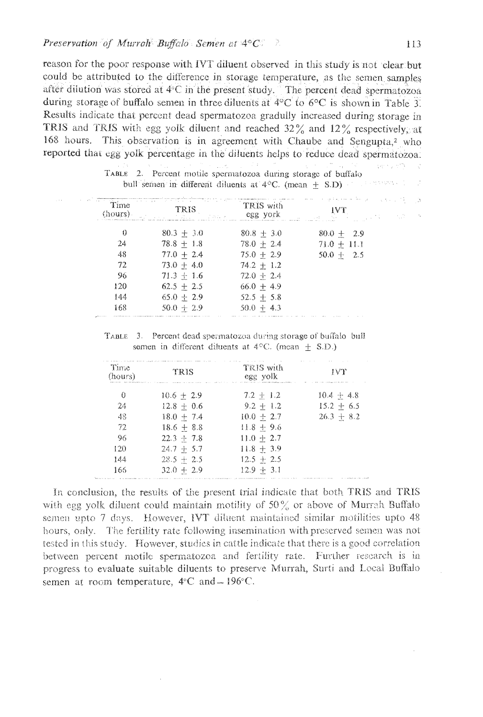reason for the poor response with IVT diluent observed in this study is not 'clear but could be attributed to the difference in storage temperature, as the semen samples after dilution was stored at 4°C in the present study. The percent dead spermatozoa during storage of buffalo semen in three diluents at 4°C to 6°C is shown in Table 3. Results indicate that percent dead spermatozoa gradully increased during storage in TRIS and TRIS with egg yolk diluent and reached 32% and 12% respectively, at 168 hours. This observation is in agreement with Chaube and Sengupta,<sup>2</sup> who reported that egg yolk percentage in the diluents helps to reduce dead spermatozoa.

| $-0.16$ | (hours). | Time Trave<br>TRIS<br>i alu k<br>all a | ng pangalang ang manakapinan sa samanan<br>TRIS with<br>CER VOIK | $-1 - 1$        |
|---------|----------|----------------------------------------|------------------------------------------------------------------|-----------------|
|         | 0        | $80.3 + 3.0$                           | $80.8 + 3.0$                                                     | $80.0 + 2.9$    |
|         | 24       | $78.8 + 1.8$                           | $78.0 + 2.4$                                                     | $71.0 + 11.1$   |
|         | 48       | $77.0 + 2.4$                           | $75.0 + 2.9$                                                     | 2.5<br>$50.0 +$ |
|         | 72       | $73.0 + 4.0$                           | $74.2 + 1.2$                                                     |                 |
|         | 96       | $71.3 + 1.6$                           | $72.0 + 2.4$                                                     |                 |
|         | 120      | $62.5 + 2.5$                           | $66.0 + 4.9$                                                     |                 |
|         | 144      | $65.0 + 2.9$                           | $52.5 + 5.8$                                                     |                 |
|         | 168      | $50.0 + 2.9$                           | $50.0 + 4.3$                                                     |                 |

TABLE 2. Percent motile spermatozoa during storage of buffalo gallen verwas all all d bull semen in different diluents at  $4^{\circ}$ C. (mean  $\pm$  S.D)

TABLE 3. Percent dead spermatozoa during storage of buffalo bull somen in different diluents at  $4^{\circ}$ C. (mean + S.D.)

| Time<br>(hours) | TRIS         | TRIS with<br>egg volk<br>THE R. P. LEWIS CO., LANSING, MICH. 49-14039-1-120-2 | IVY<br>The S.R. Letter of the S.R. Letter and the Con- |
|-----------------|--------------|-------------------------------------------------------------------------------|--------------------------------------------------------|
| 0               | $10.6 + 2.9$ | $7.2 + 1.2$                                                                   | $10.4 + 4.8$                                           |
| 24              | $12.8 + 0.6$ | $9.2 + 1.2$                                                                   | $15.2 + 6.5$                                           |
| 48              | $18.0 + 7.4$ | $10.0 + 2.7$                                                                  | $26.3 + 8.2$                                           |
| 72              | $18.6 + 8.8$ | $11.8 + 9.6$                                                                  |                                                        |
| 96              | $22.3 + 7.8$ | $11.0 + 2.7$                                                                  |                                                        |
| 120             | $24.7 + 5.7$ | $11.8 + 3.9$                                                                  |                                                        |
| 144             | $28.5 + 2.5$ | $12.5 + 2.5$                                                                  |                                                        |
| 166             | $32.0 + 2.9$ | $12.9 + 3.1$                                                                  |                                                        |

In conclusion, the results of the present trial indicate that both TRIS and TRIS with egg yolk diluent could maintain motility of  $50\%$  or above of Murrah Buffalo semen upto 7 days. However, IVT diluent maintained similar motilities upto 48 hours, only. The fertility rate following insemination with preserved semen was not tested in this study. However, studies in cattle indicate that there is a good correlation between percent motile spermatozoa and fertility rate. Further research is in progress to evaluate suitable diluents to preserve Murrah, Surti and Local Buffalo semen at room temperature,  $4^{\circ}$ C and  $-196^{\circ}$ C.

2014年1月28  $\sqrt{2}$  ,  $\sim 5$